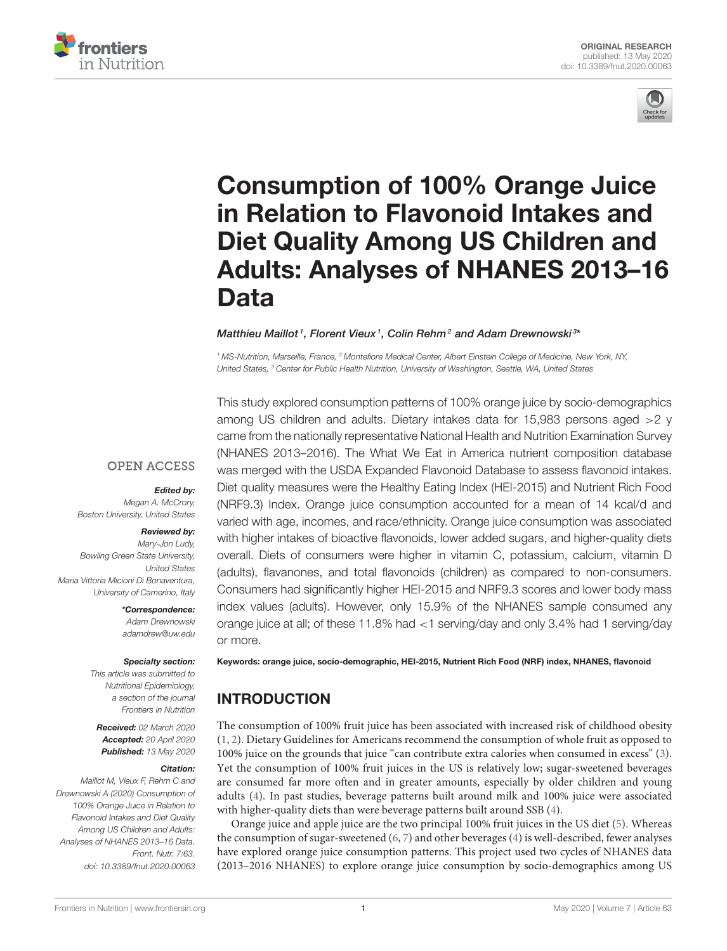



# Consumption of 100% Orange Juice in Relation to Flavonoid Intakes and Diet Quality Among US Children and [Adults: Analyses of NHANES 2013–16](https://www.frontiersin.org/articles/10.3389/fnut.2020.00063/full) Data

#### [Matthieu Maillot](http://loop.frontiersin.org/people/504086/overview)<sup>1</sup>, [Florent Vieux](http://loop.frontiersin.org/people/504082/overview)<sup>1</sup>, [Colin Rehm](http://loop.frontiersin.org/people/748163/overview)<sup>2</sup> and [Adam Drewnowski](http://loop.frontiersin.org/people/140388/overview)<sup>3\*</sup>

*<sup>1</sup> MS-Nutrition, Marseille, France, <sup>2</sup> Montefiore Medical Center, Albert Einstein College of Medicine, New York, NY, United States, <sup>3</sup> Center for Public Health Nutrition, University of Washington, Seattle, WA, United States*

**OPEN ACCESS** 

#### Edited by:

*Megan A. McCrory, Boston University, United States*

#### Reviewed by:

*Mary-Jon Ludy, Bowling Green State University, United States Maria Vittoria Micioni Di Bonaventura, University of Camerino, Italy*

> \*Correspondence: *Adam Drewnowski [adamdrew@uw.edu](mailto:adamdrew@uw.edu)*

#### Specialty section:

*This article was submitted to Nutritional Epidemiology, a section of the journal Frontiers in Nutrition*

Received: *02 March 2020* Accepted: *20 April 2020* Published: *13 May 2020*

#### Citation:

*Maillot M, Vieux F, Rehm C and Drewnowski A (2020) Consumption of 100% Orange Juice in Relation to Flavonoid Intakes and Diet Quality Among US Children and Adults: Analyses of NHANES 2013–16 Data. Front. Nutr. 7:63. doi: [10.3389/fnut.2020.00063](https://doi.org/10.3389/fnut.2020.00063)*

This study explored consumption patterns of 100% orange juice by socio-demographics among US children and adults. Dietary intakes data for 15,983 persons aged >2 y came from the nationally representative National Health and Nutrition Examination Survey (NHANES 2013–2016). The What We Eat in America nutrient composition database was merged with the USDA Expanded Flavonoid Database to assess flavonoid intakes. Diet quality measures were the Healthy Eating Index (HEI-2015) and Nutrient Rich Food (NRF9.3) Index. Orange juice consumption accounted for a mean of 14 kcal/d and varied with age, incomes, and race/ethnicity. Orange juice consumption was associated with higher intakes of bioactive flavonoids, lower added sugars, and higher-quality diets overall. Diets of consumers were higher in vitamin C, potassium, calcium, vitamin D (adults), flavanones, and total flavonoids (children) as compared to non-consumers. Consumers had significantly higher HEI-2015 and NRF9.3 scores and lower body mass index values (adults). However, only 15.9% of the NHANES sample consumed any orange juice at all; of these 11.8% had <1 serving/day and only 3.4% had 1 serving/day or more.

Keywords: orange juice, socio-demographic, HEI-2015, Nutrient Rich Food (NRF) index, NHANES, flavonoid

# INTRODUCTION

The consumption of 100% fruit juice has been associated with increased risk of childhood obesity [\(1,](#page-6-0) [2\)](#page-6-1). Dietary Guidelines for Americans recommend the consumption of whole fruit as opposed to 100% juice on the grounds that juice "can contribute extra calories when consumed in excess" [\(3\)](#page-6-2). Yet the consumption of 100% fruit juices in the US is relatively low; sugar-sweetened beverages are consumed far more often and in greater amounts, especially by older children and young adults [\(4\)](#page-6-3). In past studies, beverage patterns built around milk and 100% juice were associated with higher-quality diets than were beverage patterns built around SSB [\(4\)](#page-6-3).

Orange juice and apple juice are the two principal 100% fruit juices in the US diet [\(5\)](#page-6-4). Whereas the consumption of sugar-sweetened [\(6,](#page-6-5) [7\)](#page-6-6) and other beverages [\(4\)](#page-6-3) is well-described, fewer analyses have explored orange juice consumption patterns. This project used two cycles of NHANES data (2013–2016 NHANES) to explore orange juice consumption by socio-demographics among US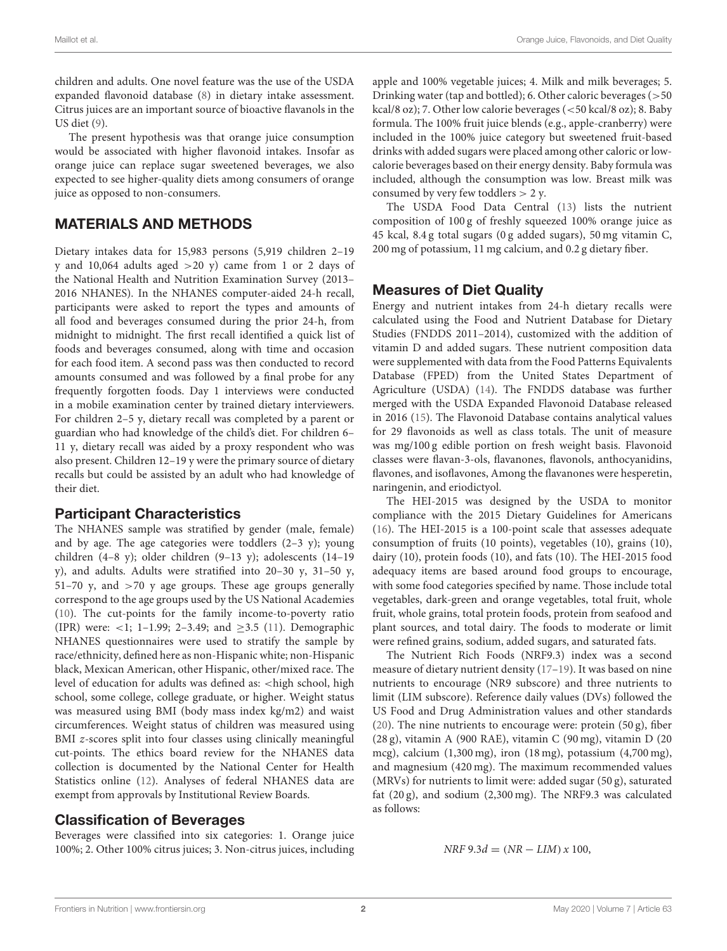children and adults. One novel feature was the use of the USDA expanded flavonoid database [\(8\)](#page-6-7) in dietary intake assessment. Citrus juices are an important source of bioactive flavanols in the US diet [\(9\)](#page-6-8).

The present hypothesis was that orange juice consumption would be associated with higher flavonoid intakes. Insofar as orange juice can replace sugar sweetened beverages, we also expected to see higher-quality diets among consumers of orange juice as opposed to non-consumers.

## MATERIALS AND METHODS

Dietary intakes data for 15,983 persons (5,919 children 2–19 y and 10,064 adults aged  $>20$  y) came from 1 or 2 days of the National Health and Nutrition Examination Survey (2013– 2016 NHANES). In the NHANES computer-aided 24-h recall, participants were asked to report the types and amounts of all food and beverages consumed during the prior 24-h, from midnight to midnight. The first recall identified a quick list of foods and beverages consumed, along with time and occasion for each food item. A second pass was then conducted to record amounts consumed and was followed by a final probe for any frequently forgotten foods. Day 1 interviews were conducted in a mobile examination center by trained dietary interviewers. For children 2–5 y, dietary recall was completed by a parent or guardian who had knowledge of the child's diet. For children 6– 11 y, dietary recall was aided by a proxy respondent who was also present. Children 12–19 y were the primary source of dietary recalls but could be assisted by an adult who had knowledge of their diet.

#### Participant Characteristics

The NHANES sample was stratified by gender (male, female) and by age. The age categories were toddlers  $(2-3 \, y)$ ; young children (4–8 y); older children (9–13 y); adolescents (14–19 y), and adults. Adults were stratified into 20–30 y, 31–50 y, 51–70 y, and  $>70$  y age groups. These age groups generally correspond to the age groups used by the US National Academies [\(10\)](#page-6-9). The cut-points for the family income-to-poverty ratio (IPR) were: <1; 1-1.99; 2-3.49; and  $\geq$ 3.5 [\(11\)](#page-6-10). Demographic NHANES questionnaires were used to stratify the sample by race/ethnicity, defined here as non-Hispanic white; non-Hispanic black, Mexican American, other Hispanic, other/mixed race. The level of education for adults was defined as: <high school, high school, some college, college graduate, or higher. Weight status was measured using BMI (body mass index kg/m2) and waist circumferences. Weight status of children was measured using BMI z-scores split into four classes using clinically meaningful cut-points. The ethics board review for the NHANES data collection is documented by the National Center for Health Statistics online [\(12\)](#page-6-11). Analyses of federal NHANES data are exempt from approvals by Institutional Review Boards.

### Classification of Beverages

Beverages were classified into six categories: 1. Orange juice 100%; 2. Other 100% citrus juices; 3. Non-citrus juices, including apple and 100% vegetable juices; 4. Milk and milk beverages; 5. Drinking water (tap and bottled); 6. Other caloric beverages (>50 kcal/8 oz); 7. Other low calorie beverages (<50 kcal/8 oz); 8. Baby formula. The 100% fruit juice blends (e.g., apple-cranberry) were included in the 100% juice category but sweetened fruit-based drinks with added sugars were placed among other caloric or lowcalorie beverages based on their energy density. Baby formula was included, although the consumption was low. Breast milk was consumed by very few toddlers  $> 2$  y.

The USDA Food Data Central [\(13\)](#page-6-12) lists the nutrient composition of 100 g of freshly squeezed 100% orange juice as 45 kcal, 8.4 g total sugars (0 g added sugars), 50 mg vitamin C, 200 mg of potassium, 11 mg calcium, and 0.2 g dietary fiber.

#### Measures of Diet Quality

Energy and nutrient intakes from 24-h dietary recalls were calculated using the Food and Nutrient Database for Dietary Studies (FNDDS 2011–2014), customized with the addition of vitamin D and added sugars. These nutrient composition data were supplemented with data from the Food Patterns Equivalents Database (FPED) from the United States Department of Agriculture (USDA) [\(14\)](#page-6-13). The FNDDS database was further merged with the USDA Expanded Flavonoid Database released in 2016 [\(15\)](#page-6-14). The Flavonoid Database contains analytical values for 29 flavonoids as well as class totals. The unit of measure was mg/100 g edible portion on fresh weight basis. Flavonoid classes were flavan-3-ols, flavanones, flavonols, anthocyanidins, flavones, and isoflavones, Among the flavanones were hesperetin, naringenin, and eriodictyol.

The HEI-2015 was designed by the USDA to monitor compliance with the 2015 Dietary Guidelines for Americans [\(16\)](#page-6-15). The HEI-2015 is a 100-point scale that assesses adequate consumption of fruits (10 points), vegetables (10), grains (10), dairy (10), protein foods (10), and fats (10). The HEI-2015 food adequacy items are based around food groups to encourage, with some food categories specified by name. Those include total vegetables, dark-green and orange vegetables, total fruit, whole fruit, whole grains, total protein foods, protein from seafood and plant sources, and total dairy. The foods to moderate or limit were refined grains, sodium, added sugars, and saturated fats.

The Nutrient Rich Foods (NRF9.3) index was a second measure of dietary nutrient density [\(17](#page-6-16)[–19\)](#page-6-17). It was based on nine nutrients to encourage (NR9 subscore) and three nutrients to limit (LIM subscore). Reference daily values (DVs) followed the US Food and Drug Administration values and other standards [\(20\)](#page-7-0). The nine nutrients to encourage were: protein (50 g), fiber (28 g), vitamin A (900 RAE), vitamin C (90 mg), vitamin D (20 mcg), calcium (1,300 mg), iron (18 mg), potassium (4,700 mg), and magnesium (420 mg). The maximum recommended values (MRVs) for nutrients to limit were: added sugar (50 g), saturated fat (20 g), and sodium (2,300 mg). The NRF9.3 was calculated as follows:

$$
NRF 9.3d = (NR - LIM) x 100,
$$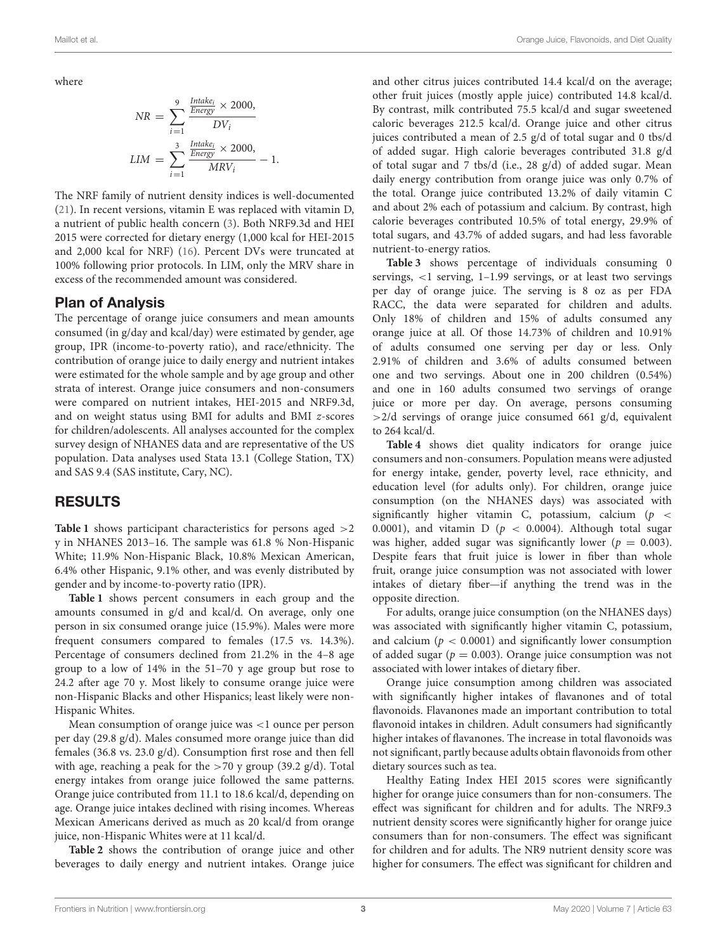where

$$
NR = \sum_{i=1}^{9} \frac{\frac{Intake_i}{Energy} \times 2000,}{DV_i}
$$

$$
LIM = \sum_{i=1}^{3} \frac{\frac{Intake_i}{Energy} \times 2000,}{MRV_i} - 1.
$$

The NRF family of nutrient density indices is well-documented [\(21\)](#page-7-1). In recent versions, vitamin E was replaced with vitamin D, a nutrient of public health concern [\(3\)](#page-6-2). Both NRF9.3d and HEI 2015 were corrected for dietary energy (1,000 kcal for HEI-2015 and 2,000 kcal for NRF) [\(16\)](#page-6-15). Percent DVs were truncated at 100% following prior protocols. In LIM, only the MRV share in excess of the recommended amount was considered.

#### Plan of Analysis

The percentage of orange juice consumers and mean amounts consumed (in g/day and kcal/day) were estimated by gender, age group, IPR (income-to-poverty ratio), and race/ethnicity. The contribution of orange juice to daily energy and nutrient intakes were estimated for the whole sample and by age group and other strata of interest. Orange juice consumers and non-consumers were compared on nutrient intakes, HEI-2015 and NRF9.3d, and on weight status using BMI for adults and BMI z-scores for children/adolescents. All analyses accounted for the complex survey design of NHANES data and are representative of the US population. Data analyses used Stata 13.1 (College Station, TX) and SAS 9.4 (SAS institute, Cary, NC).

#### RESULTS

**[Table 1](#page-3-0)** shows participant characteristics for persons aged >2 y in NHANES 2013–16. The sample was 61.8 % Non-Hispanic White; 11.9% Non-Hispanic Black, 10.8% Mexican American, 6.4% other Hispanic, 9.1% other, and was evenly distributed by gender and by income-to-poverty ratio (IPR).

**[Table 1](#page-3-0)** shows percent consumers in each group and the amounts consumed in g/d and kcal/d. On average, only one person in six consumed orange juice (15.9%). Males were more frequent consumers compared to females (17.5 vs. 14.3%). Percentage of consumers declined from 21.2% in the 4–8 age group to a low of 14% in the 51–70 y age group but rose to 24.2 after age 70 y. Most likely to consume orange juice were non-Hispanic Blacks and other Hispanics; least likely were non-Hispanic Whites.

Mean consumption of orange juice was <1 ounce per person per day (29.8 g/d). Males consumed more orange juice than did females (36.8 vs. 23.0 g/d). Consumption first rose and then fell with age, reaching a peak for the  $>70$  y group (39.2 g/d). Total energy intakes from orange juice followed the same patterns. Orange juice contributed from 11.1 to 18.6 kcal/d, depending on age. Orange juice intakes declined with rising incomes. Whereas Mexican Americans derived as much as 20 kcal/d from orange juice, non-Hispanic Whites were at 11 kcal/d.

**[Table 2](#page-3-1)** shows the contribution of orange juice and other beverages to daily energy and nutrient intakes. Orange juice and other citrus juices contributed 14.4 kcal/d on the average; other fruit juices (mostly apple juice) contributed 14.8 kcal/d. By contrast, milk contributed 75.5 kcal/d and sugar sweetened caloric beverages 212.5 kcal/d. Orange juice and other citrus juices contributed a mean of 2.5 g/d of total sugar and 0 tbs/d of added sugar. High calorie beverages contributed 31.8 g/d of total sugar and 7 tbs/d (i.e., 28 g/d) of added sugar. Mean daily energy contribution from orange juice was only 0.7% of the total. Orange juice contributed 13.2% of daily vitamin C and about 2% each of potassium and calcium. By contrast, high calorie beverages contributed 10.5% of total energy, 29.9% of total sugars, and 43.7% of added sugars, and had less favorable nutrient-to-energy ratios.

**[Table 3](#page-4-0)** shows percentage of individuals consuming 0 servings, <1 serving, 1–1.99 servings, or at least two servings per day of orange juice. The serving is 8 oz as per FDA RACC, the data were separated for children and adults. Only 18% of children and 15% of adults consumed any orange juice at all. Of those 14.73% of children and 10.91% of adults consumed one serving per day or less. Only 2.91% of children and 3.6% of adults consumed between one and two servings. About one in 200 children (0.54%) and one in 160 adults consumed two servings of orange juice or more per day. On average, persons consuming >2/d servings of orange juice consumed 661 g/d, equivalent to 264 kcal/d.

**[Table 4](#page-4-1)** shows diet quality indicators for orange juice consumers and non-consumers. Population means were adjusted for energy intake, gender, poverty level, race ethnicity, and education level (for adults only). For children, orange juice consumption (on the NHANES days) was associated with significantly higher vitamin C, potassium, calcium ( $p \leq$ 0.0001), and vitamin D ( $p < 0.0004$ ). Although total sugar was higher, added sugar was significantly lower ( $p = 0.003$ ). Despite fears that fruit juice is lower in fiber than whole fruit, orange juice consumption was not associated with lower intakes of dietary fiber—if anything the trend was in the opposite direction.

For adults, orange juice consumption (on the NHANES days) was associated with significantly higher vitamin C, potassium, and calcium ( $p < 0.0001$ ) and significantly lower consumption of added sugar ( $p = 0.003$ ). Orange juice consumption was not associated with lower intakes of dietary fiber.

Orange juice consumption among children was associated with significantly higher intakes of flavanones and of total flavonoids. Flavanones made an important contribution to total flavonoid intakes in children. Adult consumers had significantly higher intakes of flavanones. The increase in total flavonoids was not significant, partly because adults obtain flavonoids from other dietary sources such as tea.

Healthy Eating Index HEI 2015 scores were significantly higher for orange juice consumers than for non-consumers. The effect was significant for children and for adults. The NRF9.3 nutrient density scores were significantly higher for orange juice consumers than for non-consumers. The effect was significant for children and for adults. The NR9 nutrient density score was higher for consumers. The effect was significant for children and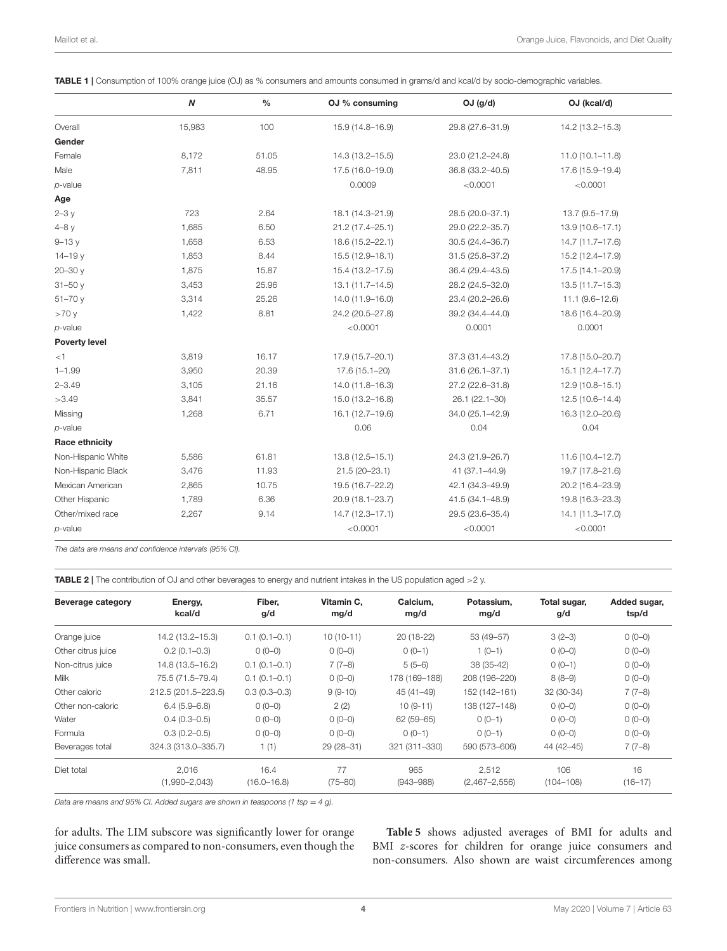<span id="page-3-0"></span>

| TABLE 1   Consumption of 100% orange juice (OJ) as % consumers and amounts consumed in grams/d and kcal/d by socio-demographic variables. |
|-------------------------------------------------------------------------------------------------------------------------------------------|
|-------------------------------------------------------------------------------------------------------------------------------------------|

|                       | N      | $\frac{0}{0}$ | OJ % consuming      | $OJ$ (g/d)          | OJ (kcal/d)         |
|-----------------------|--------|---------------|---------------------|---------------------|---------------------|
| Overall               | 15,983 | 100           | 15.9 (14.8-16.9)    | 29.8 (27.6-31.9)    | 14.2 (13.2-15.3)    |
| Gender                |        |               |                     |                     |                     |
| Female                | 8,172  | 51.05         | 14.3 (13.2-15.5)    | 23.0 (21.2-24.8)    | $11.0(10.1 - 11.8)$ |
| Male                  | 7,811  | 48.95         | 17.5 (16.0-19.0)    | 36.8 (33.2-40.5)    | 17.6 (15.9-19.4)    |
| $p$ -value            |        |               | 0.0009              | < 0.0001            | < 0.0001            |
| Age                   |        |               |                     |                     |                     |
| $2-3y$                | 723    | 2.64          | 18.1 (14.3-21.9)    | 28.5 (20.0-37.1)    | 13.7 (9.5-17.9)     |
| $4-8y$                | 1,685  | 6.50          | 21.2 (17.4-25.1)    | 29.0 (22.2-35.7)    | 13.9 (10.6-17.1)    |
| $9 - 13y$             | 1,658  | 6.53          | 18.6 (15.2-22.1)    | 30.5 (24.4-36.7)    | 14.7 (11.7-17.6)    |
| $14 - 19y$            | 1,853  | 8.44          | 15.5 (12.9-18.1)    | 31.5 (25.8-37.2)    | 15.2 (12.4-17.9)    |
| $20 - 30y$            | 1,875  | 15.87         | 15.4 (13.2-17.5)    | 36.4 (29.4-43.5)    | $17.5(14.1 - 20.9)$ |
| $31 - 50y$            | 3,453  | 25.96         | $13.1(11.7 - 14.5)$ | 28.2 (24.5-32.0)    | 13.5 (11.7-15.3)    |
| $51 - 70y$            | 3,314  | 25.26         | 14.0 (11.9-16.0)    | 23.4 (20.2-26.6)    | 11.1 (9.6-12.6)     |
| >70y                  | 1,422  | 8.81          | 24.2 (20.5-27.8)    | 39.2 (34.4-44.0)    | 18.6 (16.4-20.9)    |
| $p$ -value            |        |               | < 0.0001            | 0.0001              | 0.0001              |
| <b>Poverty level</b>  |        |               |                     |                     |                     |
| < 1                   | 3,819  | 16.17         | 17.9 (15.7-20.1)    | 37.3 (31.4-43.2)    | 17.8 (15.0-20.7)    |
| $1 - 1.99$            | 3,950  | 20.39         | 17.6 (15.1-20)      | $31.6(26.1 - 37.1)$ | 15.1 (12.4-17.7)    |
| $2 - 3.49$            | 3,105  | 21.16         | 14.0 (11.8-16.3)    | 27.2 (22.6-31.8)    | $12.9(10.8 - 15.1)$ |
| >3.49                 | 3,841  | 35.57         | 15.0 (13.2-16.8)    | 26.1 (22.1-30)      | 12.5 (10.6-14.4)    |
| Missing               | 1,268  | 6.71          | 16.1 (12.7-19.6)    | 34.0 (25.1-42.9)    | 16.3 (12.0-20.6)    |
| $p$ -value            |        |               | 0.06                | 0.04                | 0.04                |
| <b>Race ethnicity</b> |        |               |                     |                     |                     |
| Non-Hispanic White    | 5,586  | 61.81         | $13.8(12.5 - 15.1)$ | 24.3 (21.9-26.7)    | $11.6(10.4 - 12.7)$ |
| Non-Hispanic Black    | 3,476  | 11.93         | 21.5 (20-23.1)      | 41 (37.1-44.9)      | 19.7 (17.8-21.6)    |
| Mexican American      | 2,865  | 10.75         | 19.5 (16.7-22.2)    | 42.1 (34.3-49.9)    | 20.2 (16.4-23.9)    |
| Other Hispanic        | 1,789  | 6.36          | 20.9 (18.1-23.7)    | 41.5 (34.1-48.9)    | 19.8 (16.3-23.3)    |
| Other/mixed race      | 2,267  | 9.14          | $14.7(12.3 - 17.1)$ | 29.5 (23.6-35.4)    | 14.1 (11.3-17.0)    |
| $p$ -value            |        |               | < 0.0001            | < 0.0001            | < 0.0001            |

*The data are means and confidence intervals (95% CI).*

<span id="page-3-1"></span>TABLE 2 | The contribution of OJ and other beverages to energy and nutrient intakes in the US population aged >2 y.

| <b>Beverage category</b> | Energy,<br>kcal/d   | Fiber.<br>g/d    | Vitamin C.<br>mg/d | Calcium.<br>mg/d | Potassium.<br>mg/d | Total sugar,<br>g/d | Added sugar,<br>tsp/d |
|--------------------------|---------------------|------------------|--------------------|------------------|--------------------|---------------------|-----------------------|
| Orange juice             | 14.2 (13.2-15.3)    | $0.1(0.1-0.1)$   | $10(10-11)$        | $20(18-22)$      | 53 (49-57)         | $3(2-3)$            | $0(0-0)$              |
| Other citrus juice       | $0.2(0.1 - 0.3)$    | $0(0-0)$         | $0(0-0)$           | $0(0-1)$         | $1(0-1)$           | $0(0-0)$            | $0(0-0)$              |
| Non-citrus juice         | 14.8 (13.5-16.2)    | $0.1(0.1-0.1)$   | $7(7-8)$           | $5(5-6)$         | 38 (35-42)         | $0(0-1)$            | $0(0-0)$              |
| <b>Milk</b>              | 75.5 (71.5-79.4)    | $0.1(0.1-0.1)$   | $0(0-0)$           | 178 (169-188)    | 208 (196-220)      | $8(8-9)$            | $0(0-0)$              |
| Other caloric            | 212.5 (201.5-223.5) | $0.3(0.3 - 0.3)$ | $9(9-10)$          | 45 (41-49)       | 152 (142-161)      | 32 (30-34)          | $7(7-8)$              |
| Other non-caloric        | $6.4(5.9 - 6.8)$    | $0(0-0)$         | 2(2)               | $10(9-11)$       | 138 (127-148)      | $0(0-0)$            | $0(0-0)$              |
| Water                    | $0.4(0.3 - 0.5)$    | $0(0-0)$         | $0(0-0)$           | 62 (59-65)       | $0(0-1)$           | $0(0-0)$            | $0(0-0)$              |
| Formula                  | $0.3(0.2 - 0.5)$    | $0(0-0)$         | $0(0-0)$           | $O$ (0-1)        | $0(0-1)$           | $0(0-0)$            | $0(0-0)$              |
| Beverages total          | 324.3 (313.0-335.7) | 1(1)             | 29 (28-31)         | 321 (311-330)    | 590 (573-606)      | 44 (42-45)          | $7(7-8)$              |
| Diet total               | 2.016               | 16.4             | 77                 | 965              | 2.512              | 106                 | 16                    |
|                          | $(1,990 - 2,043)$   | $(16.0 - 16.8)$  | $(75 - 80)$        | $(943 - 988)$    | $(2,467 - 2,556)$  | $(104 - 108)$       | $(16 - 17)$           |

*Data are means and 95% CI. Added sugars are shown in teaspoons (1 tsp = 4 g).* 

for adults. The LIM subscore was significantly lower for orange juice consumers as compared to non-consumers, even though the difference was small.

**[Table 5](#page-5-0)** shows adjusted averages of BMI for adults and BMI z-scores for children for orange juice consumers and non-consumers. Also shown are waist circumferences among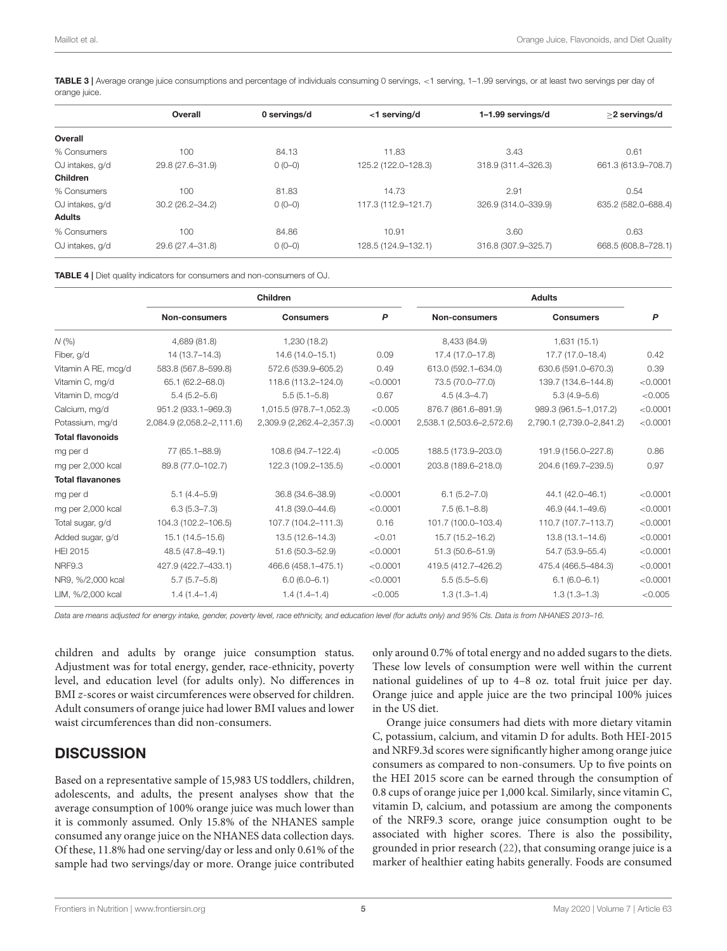<span id="page-4-0"></span>TABLE 3 | Average orange juice consumptions and percentage of individuals consuming 0 servings, <1 serving, 1-1.99 servings, or at least two servings per day of orange juice.

|                 | Overall             | 0 servings/d | <1 serving/d        | 1-1.99 servings/d   | >2 servings/d       |
|-----------------|---------------------|--------------|---------------------|---------------------|---------------------|
| Overall         |                     |              |                     |                     |                     |
| % Consumers     | 100                 | 84.13        | 11.83               | 3.43                | 0.61                |
| OJ intakes, q/d | 29.8 (27.6-31.9)    | $0(0-0)$     | 125.2 (122.0-128.3) | 318.9 (311.4-326.3) | 661.3 (613.9-708.7) |
| Children        |                     |              |                     |                     |                     |
| % Consumers     | 100                 | 81.83        | 14.73               | 2.91                | 0.54                |
| OJ intakes, q/d | $30.2(26.2 - 34.2)$ | $0(0-0)$     | 117.3 (112.9-121.7) | 326.9 (314.0-339.9) | 635.2 (582.0-688.4) |
| <b>Adults</b>   |                     |              |                     |                     |                     |
| % Consumers     | 100                 | 84.86        | 10.91               | 3.60                | 0.63                |
| OJ intakes, q/d | 29.6 (27.4-31.8)    | $0(0-0)$     | 128.5 (124.9-132.1) | 316.8 (307.9-325.7) | 668.5 (608.8-728.1) |

<span id="page-4-1"></span>TABLE 4 | Diet quality indicators for consumers and non-consumers of OJ.

|                         | Children                  |                           |          |                           |                           |          |
|-------------------------|---------------------------|---------------------------|----------|---------------------------|---------------------------|----------|
|                         | <b>Non-consumers</b>      | <b>Consumers</b>          | P        | Non-consumers             | <b>Consumers</b>          | P        |
| N(%                     | 4,689 (81.8)              | 1,230 (18.2)              |          | 8,433 (84.9)              | 1,631(15.1)               |          |
| Fiber, g/d              | 14 (13.7–14.3)            | 14.6 (14.0-15.1)          | 0.09     | 17.4 (17.0-17.8)          | 17.7 (17.0-18.4)          | 0.42     |
| Vitamin A RE, mcg/d     | 583.8 (567.8-599.8)       | 572.6 (539.9-605.2)       | 0.49     | 613.0 (592.1-634.0)       | 630.6 (591.0-670.3)       | 0.39     |
| Vitamin C, mg/d         | 65.1 (62.2-68.0)          | 118.6 (113.2-124.0)       | < 0.0001 | 73.5 (70.0-77.0)          | 139.7 (134.6-144.8)       | < 0.0001 |
| Vitamin D, mcg/d        | $5.4(5.2 - 5.6)$          | $5.5(5.1 - 5.8)$          | 0.67     | $4.5(4.3 - 4.7)$          | $5.3(4.9 - 5.6)$          | < 0.005  |
| Calcium, mg/d           | 951.2 (933.1-969.3)       | 1,015.5 (978.7-1,052.3)   | < 0.005  | 876.7 (861.6-891.9)       | 989.3 (961.5-1,017.2)     | < 0.0001 |
| Potassium, mg/d         | 2,084.9 (2,058.2-2,111.6) | 2,309.9 (2,262.4-2,357.3) | < 0.0001 | 2,538.1 (2,503.6-2,572.6) | 2,790.1 (2,739.0-2,841.2) | < 0.0001 |
| <b>Total flavonoids</b> |                           |                           |          |                           |                           |          |
| mg per d                | 77 (65.1-88.9)            | 108.6 (94.7-122.4)        | < 0.005  | 188.5 (173.9-203.0)       | 191.9 (156.0-227.8)       | 0.86     |
| mg per 2,000 kcal       | 89.8 (77.0-102.7)         | 122.3 (109.2-135.5)       | < 0.0001 | 203.8 (189.6-218.0)       | 204.6 (169.7-239.5)       | 0.97     |
| <b>Total flavanones</b> |                           |                           |          |                           |                           |          |
| mg per d                | $5.1(4.4 - 5.9)$          | 36.8 (34.6-38.9)          | < 0.0001 | $6.1(5.2 - 7.0)$          | 44.1 (42.0-46.1)          | < 0.0001 |
| mg per 2,000 kcal       | $6.3(5.3 - 7.3)$          | 41.8 (39.0-44.6)          | < 0.0001 | $7.5(6.1 - 8.8)$          | 46.9 (44.1-49.6)          | < 0.0001 |
| Total sugar, g/d        | 104.3 (102.2-106.5)       | 107.7 (104.2-111.3)       | 0.16     | 101.7 (100.0-103.4)       | 110.7 (107.7-113.7)       | < 0.0001 |
| Added sugar, g/d        | 15.1 (14.5-15.6)          | $13.5(12.6 - 14.3)$       | < 0.01   | 15.7 (15.2-16.2)          | $13.8(13.1 - 14.6)$       | < 0.0001 |
| <b>HEI 2015</b>         | 48.5 (47.8-49.1)          | 51.6 (50.3-52.9)          | < 0.0001 | 51.3 (50.6-51.9)          | 54.7 (53.9-55.4)          | < 0.0001 |
| <b>NRF9.3</b>           | 427.9 (422.7-433.1)       | 466.6 (458.1-475.1)       | < 0.0001 | 419.5 (412.7-426.2)       | 475.4 (466.5-484.3)       | < 0.0001 |
| NR9, %/2,000 kcal       | $5.7(5.7 - 5.8)$          | $6.0(6.0 - 6.1)$          | < 0.0001 | $5.5(5.5-5.6)$            | $6.1(6.0 - 6.1)$          | < 0.0001 |
| LIM, %/2,000 kcal       | $1.4(1.4-1.4)$            | $1.4(1.4-1.4)$            | < 0.005  | $1.3(1.3 - 1.4)$          | $1.3(1.3 - 1.3)$          | < 0.005  |

*Data are means adjusted for energy intake, gender, poverty level, race ethnicity, and education level (for adults only) and 95% CIs. Data is from NHANES 2013–16.*

children and adults by orange juice consumption status. Adjustment was for total energy, gender, race-ethnicity, poverty level, and education level (for adults only). No differences in BMI z-scores or waist circumferences were observed for children. Adult consumers of orange juice had lower BMI values and lower waist circumferences than did non-consumers.

# **DISCUSSION**

Based on a representative sample of 15,983 US toddlers, children, adolescents, and adults, the present analyses show that the average consumption of 100% orange juice was much lower than it is commonly assumed. Only 15.8% of the NHANES sample consumed any orange juice on the NHANES data collection days. Of these, 11.8% had one serving/day or less and only 0.61% of the sample had two servings/day or more. Orange juice contributed only around 0.7% of total energy and no added sugars to the diets. These low levels of consumption were well within the current national guidelines of up to 4–8 oz. total fruit juice per day. Orange juice and apple juice are the two principal 100% juices in the US diet.

Orange juice consumers had diets with more dietary vitamin C, potassium, calcium, and vitamin D for adults. Both HEI-2015 and NRF9.3d scores were significantly higher among orange juice consumers as compared to non-consumers. Up to five points on the HEI 2015 score can be earned through the consumption of 0.8 cups of orange juice per 1,000 kcal. Similarly, since vitamin C, vitamin D, calcium, and potassium are among the components of the NRF9.3 score, orange juice consumption ought to be associated with higher scores. There is also the possibility, grounded in prior research [\(22\)](#page-7-2), that consuming orange juice is a marker of healthier eating habits generally. Foods are consumed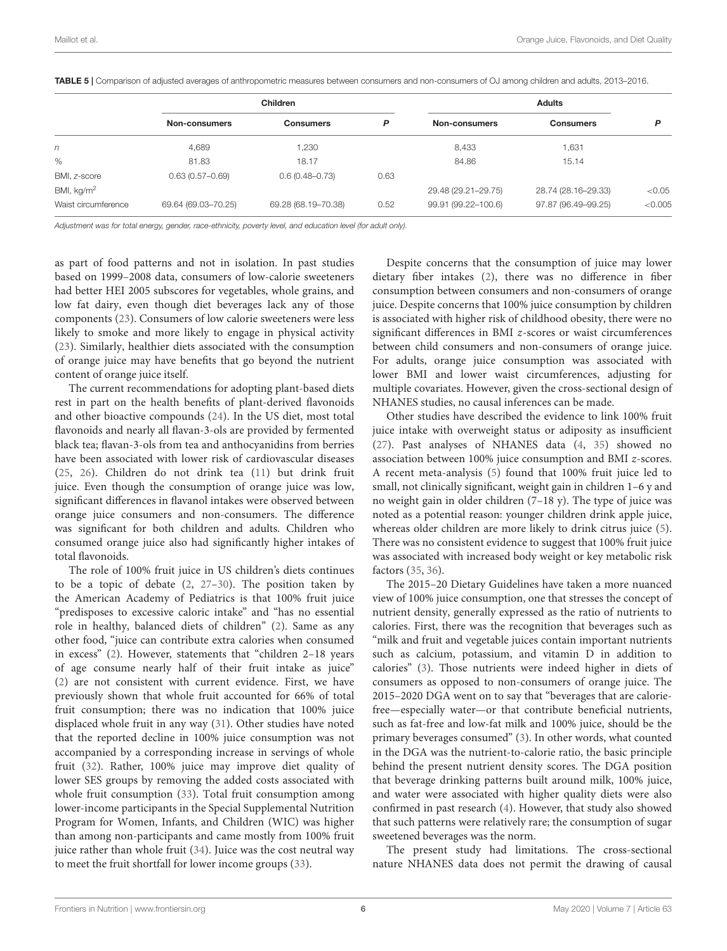|                     | <b>Children</b>     |                     |      |                     |                     |         |
|---------------------|---------------------|---------------------|------|---------------------|---------------------|---------|
|                     | Non-consumers       | <b>Consumers</b>    | P    | Non-consumers       | <b>Consumers</b>    | P       |
| n                   | 4,689               | ,230                |      | 8,433               | 1,631               |         |
| %                   | 81.83               | 18.17               |      | 84.86               | 15.14               |         |
| BMI, z-score        | $0.63(0.57 - 0.69)$ | $0.6(0.48 - 0.73)$  | 0.63 |                     |                     |         |
| BMI, $kg/m2$        |                     |                     |      | 29.48 (29.21-29.75) | 28.74 (28.16-29.33) | < 0.05  |
| Waist circumference | 69.64 (69.03-70.25) | 69.28 (68.19-70.38) | 0.52 | 99.91 (99.22-100.6) | 97.87 (96.49-99.25) | < 0.005 |

<span id="page-5-0"></span>TABLE 5 | Comparison of adjusted averages of anthropometric measures between consumers and non-consumers of OJ among children and adults, 2013-2016.

*Adjustment was for total energy, gender, race-ethnicity, poverty level, and education level (for adult only).*

as part of food patterns and not in isolation. In past studies based on 1999–2008 data, consumers of low-calorie sweeteners had better HEI 2005 subscores for vegetables, whole grains, and low fat dairy, even though diet beverages lack any of those components [\(23\)](#page-7-3). Consumers of low calorie sweeteners were less likely to smoke and more likely to engage in physical activity [\(23\)](#page-7-3). Similarly, healthier diets associated with the consumption of orange juice may have benefits that go beyond the nutrient content of orange juice itself.

The current recommendations for adopting plant-based diets rest in part on the health benefits of plant-derived flavonoids and other bioactive compounds [\(24\)](#page-7-4). In the US diet, most total flavonoids and nearly all flavan-3-ols are provided by fermented black tea; flavan-3-ols from tea and anthocyanidins from berries have been associated with lower risk of cardiovascular diseases [\(25,](#page-7-5) [26\)](#page-7-6). Children do not drink tea [\(11\)](#page-6-10) but drink fruit juice. Even though the consumption of orange juice was low, significant differences in flavanol intakes were observed between orange juice consumers and non-consumers. The difference was significant for both children and adults. Children who consumed orange juice also had significantly higher intakes of total flavonoids.

The role of 100% fruit juice in US children's diets continues to be a topic of debate [\(2,](#page-6-1) [27](#page-7-7)[–30\)](#page-7-8). The position taken by the American Academy of Pediatrics is that 100% fruit juice "predisposes to excessive caloric intake" and "has no essential role in healthy, balanced diets of children" [\(2\)](#page-6-1). Same as any other food, "juice can contribute extra calories when consumed in excess" [\(2\)](#page-6-1). However, statements that "children 2–18 years of age consume nearly half of their fruit intake as juice" [\(2\)](#page-6-1) are not consistent with current evidence. First, we have previously shown that whole fruit accounted for 66% of total fruit consumption; there was no indication that 100% juice displaced whole fruit in any way [\(31\)](#page-7-9). Other studies have noted that the reported decline in 100% juice consumption was not accompanied by a corresponding increase in servings of whole fruit [\(32\)](#page-7-10). Rather, 100% juice may improve diet quality of lower SES groups by removing the added costs associated with whole fruit consumption [\(33\)](#page-7-11). Total fruit consumption among lower-income participants in the Special Supplemental Nutrition Program for Women, Infants, and Children (WIC) was higher than among non-participants and came mostly from 100% fruit juice rather than whole fruit [\(34\)](#page-7-12). Juice was the cost neutral way to meet the fruit shortfall for lower income groups [\(33\)](#page-7-11).

Despite concerns that the consumption of juice may lower dietary fiber intakes [\(2\)](#page-6-1), there was no difference in fiber consumption between consumers and non-consumers of orange juice. Despite concerns that 100% juice consumption by children is associated with higher risk of childhood obesity, there were no significant differences in BMI z-scores or waist circumferences between child consumers and non-consumers of orange juice. For adults, orange juice consumption was associated with lower BMI and lower waist circumferences, adjusting for multiple covariates. However, given the cross-sectional design of NHANES studies, no causal inferences can be made.

Other studies have described the evidence to link 100% fruit juice intake with overweight status or adiposity as insufficient [\(27\)](#page-7-7). Past analyses of NHANES data [\(4,](#page-6-3) [35\)](#page-7-13) showed no association between 100% juice consumption and BMI z-scores. A recent meta-analysis [\(5\)](#page-6-4) found that 100% fruit juice led to small, not clinically significant, weight gain in children 1–6 y and no weight gain in older children (7–18 y). The type of juice was noted as a potential reason: younger children drink apple juice, whereas older children are more likely to drink citrus juice [\(5\)](#page-6-4). There was no consistent evidence to suggest that 100% fruit juice was associated with increased body weight or key metabolic risk factors [\(35,](#page-7-13) [36\)](#page-7-14).

The 2015–20 Dietary Guidelines have taken a more nuanced view of 100% juice consumption, one that stresses the concept of nutrient density, generally expressed as the ratio of nutrients to calories. First, there was the recognition that beverages such as "milk and fruit and vegetable juices contain important nutrients such as calcium, potassium, and vitamin D in addition to calories" [\(3\)](#page-6-2). Those nutrients were indeed higher in diets of consumers as opposed to non-consumers of orange juice. The 2015–2020 DGA went on to say that "beverages that are caloriefree—especially water—or that contribute beneficial nutrients, such as fat-free and low-fat milk and 100% juice, should be the primary beverages consumed" [\(3\)](#page-6-2). In other words, what counted in the DGA was the nutrient-to-calorie ratio, the basic principle behind the present nutrient density scores. The DGA position that beverage drinking patterns built around milk, 100% juice, and water were associated with higher quality diets were also confirmed in past research [\(4\)](#page-6-3). However, that study also showed that such patterns were relatively rare; the consumption of sugar sweetened beverages was the norm.

The present study had limitations. The cross-sectional nature NHANES data does not permit the drawing of causal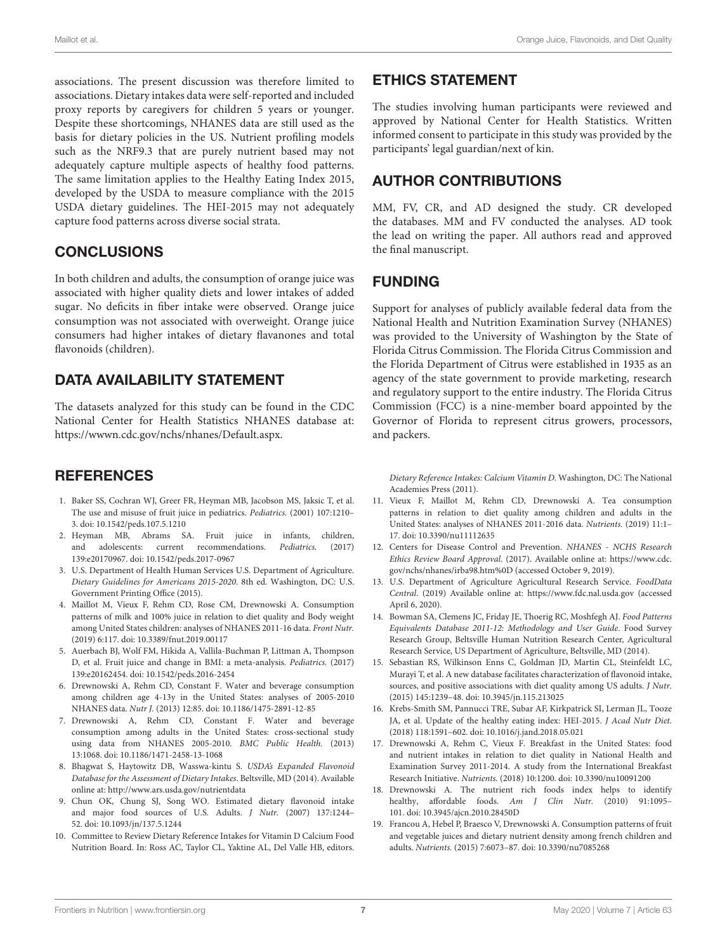associations. The present discussion was therefore limited to associations. Dietary intakes data were self-reported and included proxy reports by caregivers for children 5 years or younger. Despite these shortcomings, NHANES data are still used as the basis for dietary policies in the US. Nutrient profiling models such as the NRF9.3 that are purely nutrient based may not adequately capture multiple aspects of healthy food patterns. The same limitation applies to the Healthy Eating Index 2015, developed by the USDA to measure compliance with the 2015 USDA dietary guidelines. The HEI-2015 may not adequately capture food patterns across diverse social strata.

## **CONCLUSIONS**

In both children and adults, the consumption of orange juice was associated with higher quality diets and lower intakes of added sugar. No deficits in fiber intake were observed. Orange juice consumption was not associated with overweight. Orange juice consumers had higher intakes of dietary flavanones and total flavonoids (children).

## DATA AVAILABILITY STATEMENT

The datasets analyzed for this study can be found in the CDC National Center for Health Statistics NHANES database at: [https://wwwn.cdc.gov/nchs/nhanes/Default.aspx.](https://wwwn.cdc.gov/nchs/nhanes/Default.aspx)

## **REFERENCES**

- <span id="page-6-0"></span>1. Baker SS, Cochran WJ, Greer FR, Heyman MB, Jacobson MS, Jaksic T, et al. The use and misuse of fruit juice in pediatrics. Pediatrics. (2001) 107:1210– 3. doi: [10.1542/peds.107.5.1210](https://doi.org/10.1542/peds.107.5.1210)
- <span id="page-6-1"></span>2. Heyman MB, Abrams SA. Fruit juice in infants, children, and adolescents: current recommendations. Pediatrics. (2017) 139:e20170967. doi: [10.1542/peds.2017-0967](https://doi.org/10.1542/peds.2017-0967)
- <span id="page-6-2"></span>3. U.S. Department of Health Human Services U.S. Department of Agriculture. Dietary Guidelines for Americans 2015-2020. 8th ed. Washington, DC: U.S. Government Printing Office (2015).
- <span id="page-6-3"></span>4. Maillot M, Vieux F, Rehm CD, Rose CM, Drewnowski A. Consumption patterns of milk and 100% juice in relation to diet quality and Body weight among United States children: analyses of NHANES 2011-16 data. Front Nutr. (2019) 6:117. doi: [10.3389/fnut.2019.00117](https://doi.org/10.3389/fnut.2019.00117)
- <span id="page-6-4"></span>5. Auerbach BJ, Wolf FM, Hikida A, Vallila-Buchman P, Littman A, Thompson D, et al. Fruit juice and change in BMI: a meta-analysis. Pediatrics. (2017) 139:e20162454. doi: [10.1542/peds.2016-2454](https://doi.org/10.1542/peds.2016-2454)
- <span id="page-6-5"></span>6. Drewnowski A, Rehm CD, Constant F. Water and beverage consumption among children age 4-13y in the United States: analyses of 2005-2010 NHANES data. Nutr J. (2013) 12:85. doi: [10.1186/1475-2891-12-85](https://doi.org/10.1186/1475-2891-12-85)
- <span id="page-6-6"></span>7. Drewnowski A, Rehm CD, Constant F. Water and beverage consumption among adults in the United States: cross-sectional study using data from NHANES 2005-2010. BMC Public Health. (2013) 13:1068. doi: [10.1186/1471-2458-13-1068](https://doi.org/10.1186/1471-2458-13-1068)
- <span id="page-6-7"></span>8. Bhagwat S, Haytowitz DB, Wasswa-kintu S. USDA's Expanded Flavonoid Database for the Assessment of Dietary Intakes. Beltsville, MD (2014). Available online at:<http://www.ars.usda.gov/nutrientdata>
- <span id="page-6-8"></span>9. Chun OK, Chung SJ, Song WO. Estimated dietary flavonoid intake and major food sources of U.S. Adults. J Nutr. (2007) 137:1244– 52. doi: [10.1093/jn/137.5.1244](https://doi.org/10.1093/jn/137.5.1244)
- <span id="page-6-9"></span>10. Committee to Review Dietary Reference Intakes for Vitamin D Calcium Food Nutrition Board. In: Ross AC, Taylor CL, Yaktine AL, Del Valle HB, editors.

# ETHICS STATEMENT

The studies involving human participants were reviewed and approved by National Center for Health Statistics. Written informed consent to participate in this study was provided by the participants' legal guardian/next of kin.

# AUTHOR CONTRIBUTIONS

MM, FV, CR, and AD designed the study. CR developed the databases. MM and FV conducted the analyses. AD took the lead on writing the paper. All authors read and approved the final manuscript.

## FUNDING

Support for analyses of publicly available federal data from the National Health and Nutrition Examination Survey (NHANES) was provided to the University of Washington by the State of Florida Citrus Commission. The Florida Citrus Commission and the Florida Department of Citrus were established in 1935 as an agency of the state government to provide marketing, research and regulatory support to the entire industry. The Florida Citrus Commission (FCC) is a nine-member board appointed by the Governor of Florida to represent citrus growers, processors, and packers.

Dietary Reference Intakes: Calcium Vitamin D. Washington, DC: The National Academies Press (2011).

- <span id="page-6-10"></span>11. Vieux F, Maillot M, Rehm CD, Drewnowski A. Tea consumption patterns in relation to diet quality among children and adults in the United States: analyses of NHANES 2011-2016 data. Nutrients. (2019) 11:1– 17. doi: [10.3390/nu11112635](https://doi.org/10.3390/nu11112635)
- <span id="page-6-11"></span>12. Centers for Disease Control and Prevention. NHANES - NCHS Research Ethics Review Board Approval. (2017). Available online at: [https://www.cdc.](https://www.cdc.gov/nchs/nhanes/irba98.htm%0D) [gov/nchs/nhanes/irba98.htm%0D](https://www.cdc.gov/nchs/nhanes/irba98.htm%0D) (accessed October 9, 2019).
- <span id="page-6-12"></span>13. U.S. Department of Agriculture Agricultural Research Service. FoodData Central. (2019) Available online at:<https://www.fdc.nal.usda.gov> (accessed April 6, 2020).
- <span id="page-6-13"></span>14. Bowman SA, Clemens JC, Friday JE, Thoerig RC, Moshfegh AJ. Food Patterns Equivalents Database 2011-12: Methodology and User Guide. Food Survey Research Group, Beltsville Human Nutrition Research Center, Agricultural Research Service, US Department of Agriculture, Beltsville, MD (2014).
- <span id="page-6-14"></span>15. Sebastian RS, Wilkinson Enns C, Goldman JD, Martin CL, Steinfeldt LC, Murayi T, et al. A new database facilitates characterization of flavonoid intake, sources, and positive associations with diet quality among US adults. J Nutr. (2015) 145:1239–48. doi: [10.3945/jn.115.213025](https://doi.org/10.3945/jn.115.213025)
- <span id="page-6-15"></span>16. Krebs-Smith SM, Pannucci TRE, Subar AF, Kirkpatrick SI, Lerman JL, Tooze JA, et al. Update of the healthy eating index: HEI-2015. J Acad Nutr Diet. (2018) 118:1591–602. doi: [10.1016/j.jand.2018.05.021](https://doi.org/10.1016/j.jand.2018.05.021)
- <span id="page-6-16"></span>17. Drewnowski A, Rehm C, Vieux F. Breakfast in the United States: food and nutrient intakes in relation to diet quality in National Health and Examination Survey 2011-2014. A study from the International Breakfast Research Initiative. Nutrients. (2018) 10:1200. doi: [10.3390/nu10091200](https://doi.org/10.3390/nu10091200)
- 18. Drewnowski A. The nutrient rich foods index helps to identify healthy, affordable foods. Am J Clin Nutr. (2010) 91:1095-101. doi: [10.3945/ajcn.2010.28450D](https://doi.org/10.3945/ajcn.2010.28450D)
- <span id="page-6-17"></span>19. Francou A, Hebel P, Braesco V, Drewnowski A. Consumption patterns of fruit and vegetable juices and dietary nutrient density among french children and adults. Nutrients. (2015) 7:6073–87. doi: [10.3390/nu7085268](https://doi.org/10.3390/nu7085268)